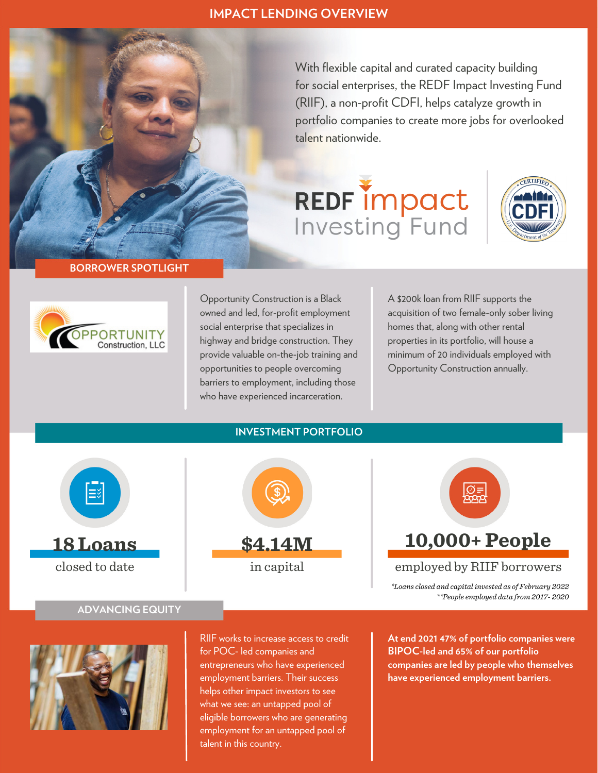# **IMPACT LENDING OVERVIEW**

With flexible capital and curated capacity building for social enterprises, the REDF Impact Investing Fund (RIIF), a non-profit CDFI, helps catalyze growth in portfolio companies to create more jobs for overlooked talent nationwide.

# **REDF impact**<br>Investing Fund



### **BORROWER SPOTLIGHT**



Opportunity Construction is a Black owned and led, for-profit employment social enterprise that specializes in highway and bridge construction. They provide valuable on-the-job training and opportunities to people overcoming barriers to employment, including those who have experienced incarceration.

A \$200k loan from RIIF supports the acquisition of two female-only sober living homes that, along with other rental properties in its portfolio, will house a minimum of 20 individuals employed with Opportunity Construction annually.



closed to date



**10,000+ People**

employed by RIIF borrowers

*\*Loans closed and capital invested as of February 2022 \*\*People employed data from 2017- 2020*

# **ADVANCING EQUITY**



RIIF works to increase access to credit for POC- led companies and entrepreneurs who have experienced employment barriers. Their success helps other impact investors to see what we see: an untapped pool of eligible borrowers who are generating employment for an untapped pool of talent in this country.

**At end 2021 47% of portfolio companies were BIPOC-led and 65% of our portfolio companies are led by people who themselves have experienced employment barriers.**

# **INVESTMENT PORTFOLIO**